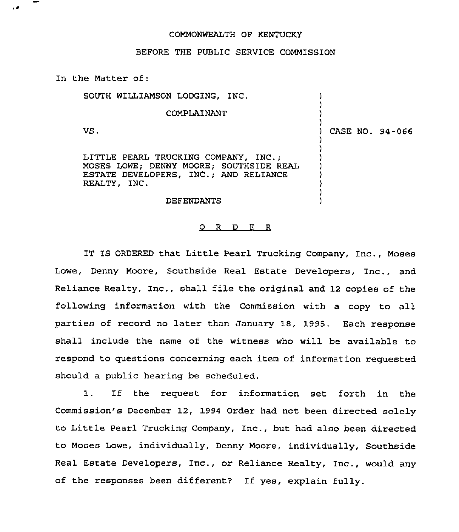## COMMONWEALTH OF KENTUCKY

## BEFORE THE PUBLIC SERVICE COMMISSION

ln the Matter of:

 $\overline{1}$ 

SOUTH WILLIAMSON LODGING, INC. ) ) COMPLAINANT ) ) VS. ) CASE NO. 94-066 ) ) LITTLE PEARL TRUCKING COMPANY, INC.; ) MOSES LOWE; DENNY MOORE; SOUTHSIDE REAL ) ESTATE DEVELOPERS, INC.; AND RELIANCE ) REALTY, INC. ) )

## DEFENDANTS

## 0 <sup>R</sup> <sup>D</sup> E <sup>R</sup>

)

IT IS ORDERED that Little Pearl Trucking Company, Inc., Moses Lowe, Denny Moore, Southside Real Estate Developers, Inc., and Reliance Realty, Inc., shall file the original and 12 copies of the following information with the Commission with a copy to all parties of record no later than January 18, 1995. Each response shall include the name of the witness who will be available to respond to questions concerning each item of information requested should a public hearing be scheduled.

If the request for information set forth in the 1. Commission's December 12, 1994 Order had not been directed solely to Little Pearl Trucking Company, Inc., but had also been directed to Moses Lowe, individually, Denny Moore, individually, Southside Real Estate Developers, Inc., or Reliance Realty, Inc., would any of the responses been different? If yes, explain fully.